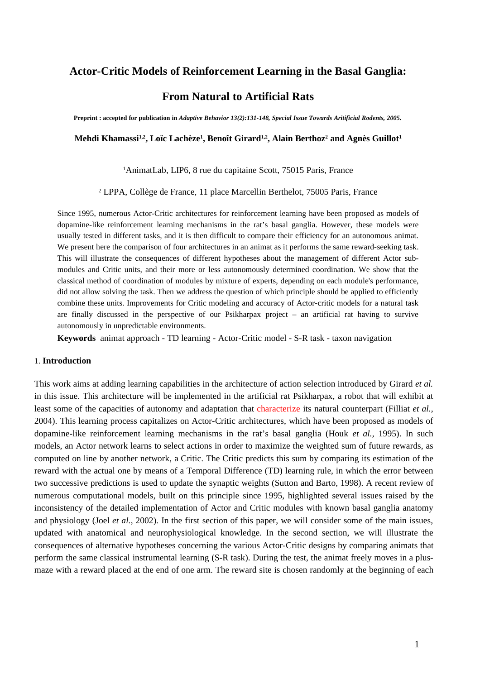# **Actor-Critic Models of Reinforcement Learning in the Basal Ganglia:**

# **From Natural to Artificial Rats**

Preprint : accepted for publication in Adaptive Behavior 13(2):131-148, Special Issue Towards Aritificial Rodents, 2005.

Mehdi Khamassi<sup>1,2</sup>, Loïc Lachèze<sup>1</sup>, Benoît Girard<sup>1,2</sup>, Alain Berthoz<sup>2</sup> and Agnès Guillot<sup>1</sup>

<sup>1</sup>AnimatLab, LIP6, 8 rue du capitaine Scott, 75015 Paris, France

<sup>2</sup> LPPA, Collège de France, 11 place Marcellin Berthelot, 75005 Paris, France

Since 1995, numerous Actor-Critic architectures for reinforcement learning have been proposed as models of dopamine-like reinforcement learning mechanisms in the rat's basal ganglia. However, these models were usually tested in different tasks, and it is then difficult to compare their efficiency for an autonomous animat. We present here the comparison of four architectures in an animat as it performs the same reward-seeking task. This will illustrate the consequences of different hypotheses about the management of different Actor submodules and Critic units, and their more or less autonomously determined coordination. We show that the classical method of coordination of modules by mixture of experts, depending on each module's performance, did not allow solving the task. Then we address the question of which principle should be applied to efficiently combine these units. Improvements for Critic modeling and accuracy of Actor-critic models for a natural task are finally discussed in the perspective of our Psikharpax project – an artificial rat having to survive autonomously in unpredictable environments.

**Keywords** animat approach - TD learning - Actor-Critic model - S-R task - taxon navigation

#### 1. **Introduction**

This work aims at adding learning capabilities in the architecture of action selection introduced by Girard *et al.* in this issue. This architecture will be implemented in the artificial rat Psikharpax, a robot that will exhibit at least some of the capacities of autonomy and adaptation that characterize its natural counterpart (Filliat *et al.*, 2004). This learning process capitalizes on Actor-Critic architectures, which have been proposed as models of dopamine-like reinforcement learning mechanisms in the rat's basal ganglia (Houk *et al.*, 1995). In such models, an Actor network learns to select actions in order to maximize the weighted sum of future rewards, as computed on line by another network, a Critic. The Critic predicts this sum by comparing its estimation of the reward with the actual one by means of a Temporal Difference (TD) learning rule, in which the error between two successive predictions is used to update the synaptic weights (Sutton and Barto, 1998). A recent review of numerous computational models, built on this principle since 1995, highlighted several issues raised by the inconsistency of the detailed implementation of Actor and Critic modules with known basal ganglia anatomy and physiology (Joel *et al.*, 2002). In the first section of this paper, we will consider some of the main issues, updated with anatomical and neurophysiological knowledge. In the second section, we will illustrate the consequences of alternative hypotheses concerning the various Actor-Critic designs by comparing animats that perform the same classical instrumental learning (S-R task). During the test, the animat freely moves in a plusmaze with a reward placed at the end of one arm. The reward site is chosen randomly at the beginning of each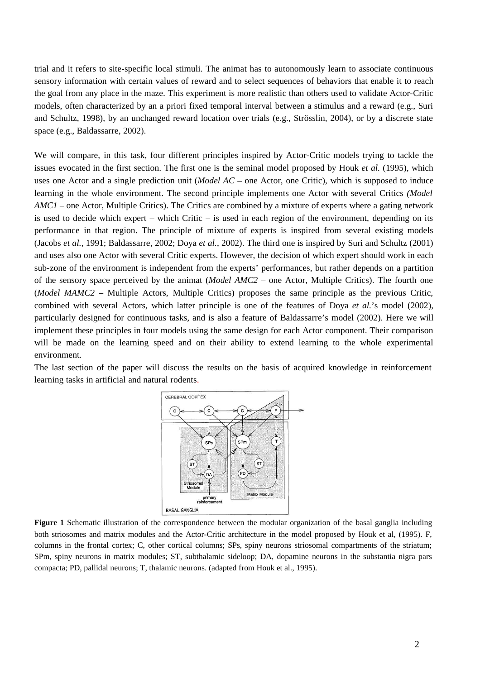trial and it refers to site-specific local stimuli. The animat has to autonomously learn to associate continuous sensory information with certain values of reward and to select sequences of behaviors that enable it to reach the goal from any place in the maze. This experiment is more realistic than others used to validate Actor-Critic models, often characterized by an a priori fixed temporal interval between a stimulus and a reward (e.g., Suri and Schultz, 1998), by an unchanged reward location over trials (e.g., Strösslin, 2004), or by a discrete state space (e.g., Baldassarre, 2002).

We will compare, in this task, four different principles inspired by Actor-Critic models trying to tackle the issues evocated in the first section. The first one is the seminal model proposed by Houk *et al.* (1995), which uses one Actor and a single prediction unit (*Model AC* – one Actor, one Critic), which is supposed to induce learning in the whole environment. The second principle implements one Actor with several Critics *(Model AMC1* – one Actor, Multiple Critics). The Critics are combined by a mixture of experts where a gating network is used to decide which expert – which Critic – is used in each region of the environment, depending on its performance in that region. The principle of mixture of experts is inspired from several existing models (Jacobs *et al.*, 1991; Baldassarre, 2002; Doya *et al.*, 2002). The third one is inspired by Suri and Schultz (2001) and uses also one Actor with several Critic experts. However, the decision of which expert should work in each sub-zone of the environment is independent from the experts' performances, but rather depends on a partition of the sensory space perceived by the animat (*Model AMC2* – one Actor, Multiple Critics). The fourth one (*Model MAMC2* – Multiple Actors, Multiple Critics) proposes the same principle as the previous Critic, combined with several Actors, which latter principle is one of the features of Doya *et al.*'s model (2002), particularly designed for continuous tasks, and is also a feature of Baldassarre's model (2002). Here we will implement these principles in four models using the same design for each Actor component. Their comparison will be made on the learning speed and on their ability to extend learning to the whole experimental environment.

The last section of the paper will discuss the results on the basis of acquired knowledge in reinforcement learning tasks in artificial and natural rodents.



**Figure 1** Schematic illustration of the correspondence between the modular organization of the basal ganglia including both striosomes and matrix modules and the Actor-Critic architecture in the model proposed by Houk et al, (1995). F, columns in the frontal cortex; C, other cortical columns; SPs, spiny neurons striosomal compartments of the striatum; SPm, spiny neurons in matrix modules; ST, subthalamic sideloop; DA, dopamine neurons in the substantia nigra pars compacta; PD, pallidal neurons; T, thalamic neurons. (adapted from Houk et al., 1995).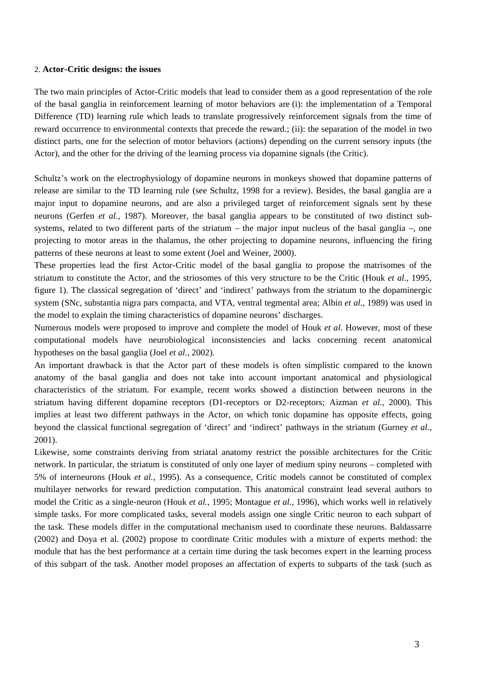#### 2. **Actor-Critic designs: the issues**

The two main principles of Actor-Critic models that lead to consider them as a good representation of the role of the basal ganglia in reinforcement learning of motor behaviors are (i): the implementation of a Temporal Difference (TD) learning rule which leads to translate progressively reinforcement signals from the time of reward occurrence to environmental contexts that precede the reward.; (ii): the separation of the model in two distinct parts, one for the selection of motor behaviors (actions) depending on the current sensory inputs (the Actor), and the other for the driving of the learning process via dopamine signals (the Critic).

Schultz's work on the electrophysiology of dopamine neurons in monkeys showed that dopamine patterns of release are similar to the TD learning rule (see Schultz, 1998 for a review). Besides, the basal ganglia are a major input to dopamine neurons, and are also a privileged target of reinforcement signals sent by these neurons (Gerfen *et al.*, 1987). Moreover, the basal ganglia appears to be constituted of two distinct subsystems, related to two different parts of the striatum – the major input nucleus of the basal ganglia –, one projecting to motor areas in the thalamus, the other projecting to dopamine neurons, influencing the firing patterns of these neurons at least to some extent (Joel and Weiner, 2000).

These properties lead the first Actor-Critic model of the basal ganglia to propose the matrisomes of the striatum to constitute the Actor, and the striosomes of this very structure to be the Critic (Houk *et al.*, 1995, figure 1). The classical segregation of 'direct' and 'indirect' pathways from the striatum to the dopaminergic system (SNc, substantia nigra pars compacta, and VTA, ventral tegmental area; Albin *et al.,* 1989) was used in the model to explain the timing characteristics of dopamine neurons' discharges.

Numerous models were proposed to improve and complete the model of Houk *et al*. However, most of these computational models have neurobiological inconsistencies and lacks concerning recent anatomical hypotheses on the basal ganglia (Joel *et al.*, 2002).

An important drawback is that the Actor part of these models is often simplistic compared to the known anatomy of the basal ganglia and does not take into account important anatomical and physiological characteristics of the striatum. For example, recent works showed a distinction between neurons in the striatum having different dopamine receptors (D1-receptors or D2-receptors; Aizman *et al.*, 2000). This implies at least two different pathways in the Actor, on which tonic dopamine has opposite effects, going beyond the classical functional segregation of 'direct' and 'indirect' pathways in the striatum (Gurney *et al.*, 2001).

Likewise, some constraints deriving from striatal anatomy restrict the possible architectures for the Critic network. In particular, the striatum is constituted of only one layer of medium spiny neurons – completed with 5% of interneurons (Houk *et al.*, 1995). As a consequence, Critic models cannot be constituted of complex multilayer networks for reward prediction computation. This anatomical constraint lead several authors to model the Critic as a single-neuron (Houk *et al.*, 1995; Montague *et al.*, 1996), which works well in relatively simple tasks. For more complicated tasks, several models assign one single Critic neuron to each subpart of the task. These models differ in the computational mechanism used to coordinate these neurons. Baldassarre (2002) and Doya et al. (2002) propose to coordinate Critic modules with a mixture of experts method: the module that has the best performance at a certain time during the task becomes expert in the learning process of this subpart of the task. Another model proposes an affectation of experts to subparts of the task (such as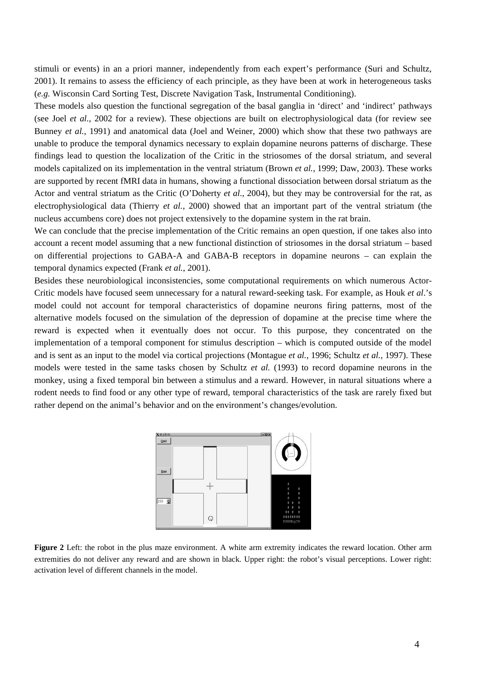stimuli or events) in an a priori manner, independently from each expert's performance (Suri and Schultz, 2001). It remains to assess the efficiency of each principle, as they have been at work in heterogeneous tasks (*e.g.* Wisconsin Card Sorting Test, Discrete Navigation Task, Instrumental Conditioning).

These models also question the functional segregation of the basal ganglia in 'direct' and 'indirect' pathways (see Joel *et al.*, 2002 for a review). These objections are built on electrophysiological data (for review see Bunney *et al.*, 1991) and anatomical data (Joel and Weiner, 2000) which show that these two pathways are unable to produce the temporal dynamics necessary to explain dopamine neurons patterns of discharge. These findings lead to question the localization of the Critic in the striosomes of the dorsal striatum, and several models capitalized on its implementation in the ventral striatum (Brown *et al.*, 1999; Daw, 2003). These works are supported by recent fMRI data in humans, showing a functional dissociation between dorsal striatum as the Actor and ventral striatum as the Critic (O'Doherty *et al*., 2004), but they may be controversial for the rat, as electrophysiological data (Thierry *et al.*, 2000) showed that an important part of the ventral striatum (the nucleus accumbens core) does not project extensively to the dopamine system in the rat brain.

We can conclude that the precise implementation of the Critic remains an open question, if one takes also into account a recent model assuming that a new functional distinction of striosomes in the dorsal striatum – based on differential projections to GABA-A and GABA-B receptors in dopamine neurons – can explain the temporal dynamics expected (Frank *et al.*, 2001).

Besides these neurobiological inconsistencies, some computational requirements on which numerous Actor-Critic models have focused seem unnecessary for a natural reward-seeking task. For example, as Houk *et al*.'s model could not account for temporal characteristics of dopamine neurons firing patterns, most of the alternative models focused on the simulation of the depression of dopamine at the precise time where the reward is expected when it eventually does not occur. To this purpose, they concentrated on the implementation of a temporal component for stimulus description – which is computed outside of the model and is sent as an input to the model via cortical projections (Montague *et al.*, 1996; Schultz *et al.*, 1997). These models were tested in the same tasks chosen by Schultz *et al.* (1993) to record dopamine neurons in the monkey, using a fixed temporal bin between a stimulus and a reward. However, in natural situations where a rodent needs to find food or any other type of reward, temporal characteristics of the task are rarely fixed but rather depend on the animal's behavior and on the environment's changes/evolution.



**Figure** 2 Left: the robot in the plus maze environment. A white arm extremity indicates the reward location. Other arm extremities do not deliver any reward and are shown in black. Upper right: the robot's visual perceptions. Lower right: activation level of different channels in the model.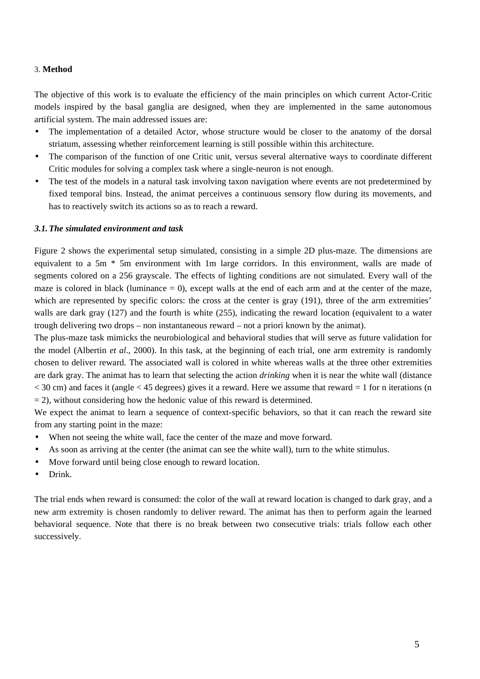## 3. **Method**

The objective of this work is to evaluate the efficiency of the main principles on which current Actor-Critic models inspired by the basal ganglia are designed, when they are implemented in the same autonomous artificial system. The main addressed issues are:

- The implementation of a detailed Actor, whose structure would be closer to the anatomy of the dorsal striatum, assessing whether reinforcement learning is still possible within this architecture.
- The comparison of the function of one Critic unit, versus several alternative ways to coordinate different Critic modules for solving a complex task where a single-neuron is not enough.
- The test of the models in a natural task involving taxon navigation where events are not predetermined by fixed temporal bins. Instead, the animat perceives a continuous sensory flow during its movements, and has to reactively switch its actions so as to reach a reward.

## *3.1.The simulated environment and task*

Figure 2 shows the experimental setup simulated, consisting in a simple 2D plus-maze. The dimensions are equivalent to a 5m \* 5m environment with 1m large corridors. In this environment, walls are made of segments colored on a 256 grayscale. The effects of lighting conditions are not simulated. Every wall of the maze is colored in black (luminance  $= 0$ ), except walls at the end of each arm and at the center of the maze, which are represented by specific colors: the cross at the center is gray (191), three of the arm extremities' walls are dark gray (127) and the fourth is white (255), indicating the reward location (equivalent to a water trough delivering two drops – non instantaneous reward – not a priori known by the animat).

The plus-maze task mimicks the neurobiological and behavioral studies that will serve as future validation for the model (Albertin *et al*., 2000). In this task, at the beginning of each trial, one arm extremity is randomly chosen to deliver reward. The associated wall is colored in white whereas walls at the three other extremities are dark gray. The animat has to learn that selecting the action *drinking* when it is near the white wall (distance  $<$  30 cm) and faces it (angle  $<$  45 degrees) gives it a reward. Here we assume that reward = 1 for n iterations (n  $= 2$ ), without considering how the hedonic value of this reward is determined.

We expect the animat to learn a sequence of context-specific behaviors, so that it can reach the reward site from any starting point in the maze:

- When not seeing the white wall, face the center of the maze and move forward.
- As soon as arriving at the center (the animat can see the white wall), turn to the white stimulus.
- Move forward until being close enough to reward location.
- Drink.

The trial ends when reward is consumed: the color of the wall at reward location is changed to dark gray, and a new arm extremity is chosen randomly to deliver reward. The animat has then to perform again the learned behavioral sequence. Note that there is no break between two consecutive trials: trials follow each other successively.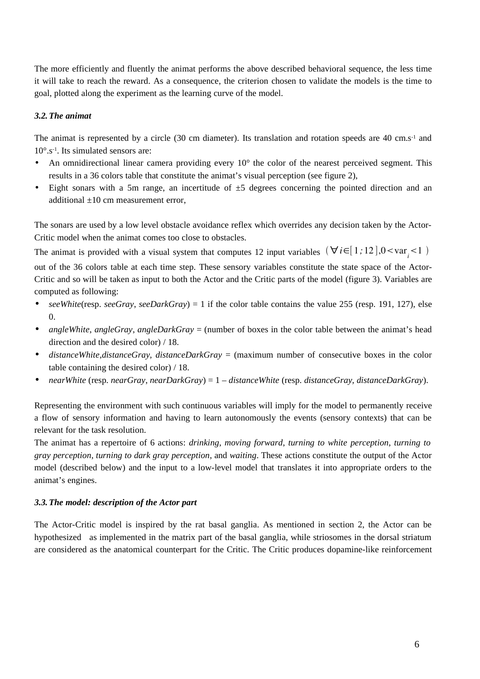The more efficiently and fluently the animat performs the above described behavioral sequence, the less time it will take to reach the reward. As a consequence, the criterion chosen to validate the models is the time to goal, plotted along the experiment as the learning curve of the model.

## *3.2.The animat*

The animat is represented by a circle (30 cm diameter). Its translation and rotation speeds are 40 cm.s<sup>-1</sup> and 10°.s -1 . Its simulated sensors are:

- An omnidirectional linear camera providing every  $10^{\circ}$  the color of the nearest perceived segment. This results in a 36 colors table that constitute the animat's visual perception (see figure 2),
- Eight sonars with a 5m range, an incertitude of  $\pm 5$  degrees concerning the pointed direction and an additional  $\pm 10$  cm measurement error.

The sonars are used by a low level obstacle avoidance reflex which overrides any decision taken by the Actor-Critic model when the animat comes too close to obstacles.

The animat is provided with a visual system that computes 12 input variables  $(\forall i \in [1, 12], 0 < \text{var}_i < 1)$ 

out of the 36 colors table at each time step. These sensory variables constitute the state space of the Actor-Critic and so will be taken as input to both the Actor and the Critic parts of the model (figure 3). Variables are computed as following:

- *seeWhite*(resp. *seeGray*, *seeDarkGray*) = 1 if the color table contains the value 255 (resp. 191, 127), else  $\Omega$
- *angleWhite, angleGray, angleDarkGray* = (number of boxes in the color table between the animat's head direction and the desired color) / 18.
- *distanceWhite*,*distanceGray, distanceDarkGray* = (maximum number of consecutive boxes in the color table containing the desired color) / 18.
- *nearWhite* (resp. *nearGray*, *nearDarkGray*) = 1 *distanceWhite* (resp. *distanceGray, distanceDarkGray*).

Representing the environment with such continuous variables will imply for the model to permanently receive a flow of sensory information and having to learn autonomously the events (sensory contexts) that can be relevant for the task resolution.

The animat has a repertoire of 6 actions: *drinking*, *moving forward*, *turning to white perception*, *turning to gray perception*, *turning to dark gray perception*, and *waiting*. These actions constitute the output of the Actor model (described below) and the input to a low-level model that translates it into appropriate orders to the animat's engines.

## *3.3.The model: description of the Actor part*

The Actor-Critic model is inspired by the rat basal ganglia. As mentioned in section 2, the Actor can be hypothesized as implemented in the matrix part of the basal ganglia, while striosomes in the dorsal striatum are considered as the anatomical counterpart for the Critic. The Critic produces dopamine-like reinforcement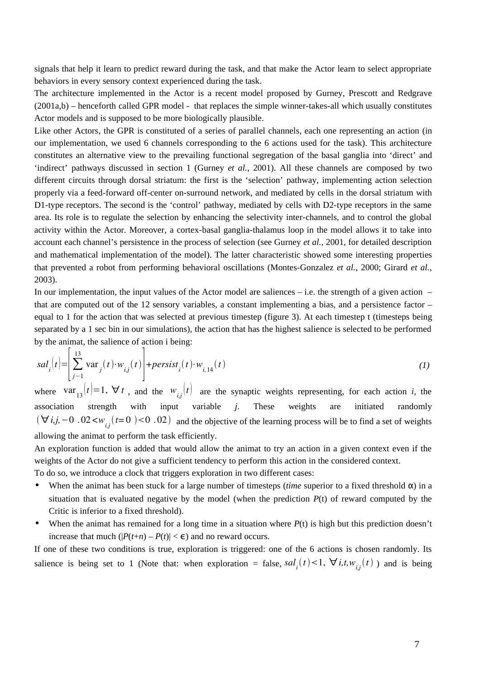signals that help it learn to predict reward during the task, and that make the Actor learn to select appropriate behaviors in every sensory context experienced during the task.

The architecture implemented in the Actor is a recent model proposed by Gurney, Prescott and Redgrave  $(2001a,b)$  – henceforth called GPR model - that replaces the simple winner-takes-all which usually constitutes Actor models and is supposed to be more biologically plausible.

Like other Actors, the GPR is constituted of a series of parallel channels, each one representing an action (in our implementation, we used 6 channels corresponding to the 6 actions used for the task). This architecture constitutes an alternative view to the prevailing functional segregation of the basal ganglia into 'direct' and 'indirect' pathways discussed in section 1 (Gurney *et al.*, 2001). All these channels are composed by two different circuits through dorsal striatum: the first is the 'selection' pathway, implementing action selection properly via a feed-forward off-center on-surround network, and mediated by cells in the dorsal striatum with D1-type receptors. The second is the 'control' pathway, mediated by cells with D2-type receptors in the same area. Its role is to regulate the selection by enhancing the selectivity inter-channels, and to control the global activity within the Actor. Moreover, a cortex-basal ganglia-thalamus loop in the model allows it to take into account each channel's persistence in the process of selection (see Gurney *et al.*, 2001, for detailed description and mathematical implementation of the model). The latter characteristic showed some interesting properties that prevented a robot from performing behavioral oscillations (Montes-Gonzalez *et al.*, 2000; Girard *et al.*, 2003).

In our implementation, the input values of the Actor model are saliences – i.e. the strength of a given action – that are computed out of the 12 sensory variables, a constant implementing a bias, and a persistence factor – equal to 1 for the action that was selected at previous timestep (figure 3). At each timestep t (timesteps being separated by a 1 sec bin in our simulations), the action that has the highest salience is selected to be performed by the animat, the salience of action i being:

$$
sal_i(t) = \left[ \sum_{j=1}^{13} \text{var}_j(t) \cdot w_{ij}(t) \right] + \text{persist}_i(t) \cdot w_{i,14}(t)
$$
\n
$$
(1)
$$

where  $var_{13}(t)=1$ ,  $\forall t$ , and the  $w_{i,j}(t)$  are the synaptic weights representing, for each action *i*, the association strength with input variable *j*. These weights are initiated randomly (∀*i,j*,−0 .02 <w<sub>*i,j*</sub> (*t*=0) <0 .02) and the objective of the learning process will be to find a set of weights allowing the animat to perform the task efficiently.

An exploration function is added that would allow the animat to try an action in a given context even if the weights of the Actor do not give a sufficient tendency to perform this action in the considered context.

To do so, we introduce a clock that triggers exploration in two different cases:

- When the animat has been stuck for a large number of timesteps (*time* superior to a fixed threshold α) in a situation that is evaluated negative by the model (when the prediction  $P(t)$  of reward computed by the Critic is inferior to a fixed threshold).
- When the animat has remained for a long time in a situation where *P*(t) is high but this prediction doesn't increase that much  $(|P(t+n) - P(t)| < \epsilon)$  and no reward occurs.

If one of these two conditions is true, exploration is triggered: one of the 6 actions is chosen randomly. Its salience is being set to 1 (Note that: when exploration = false,  $sal_i(t) < 1$ ,  $\forall i, t, w_{i,j}(t)$ ) and is being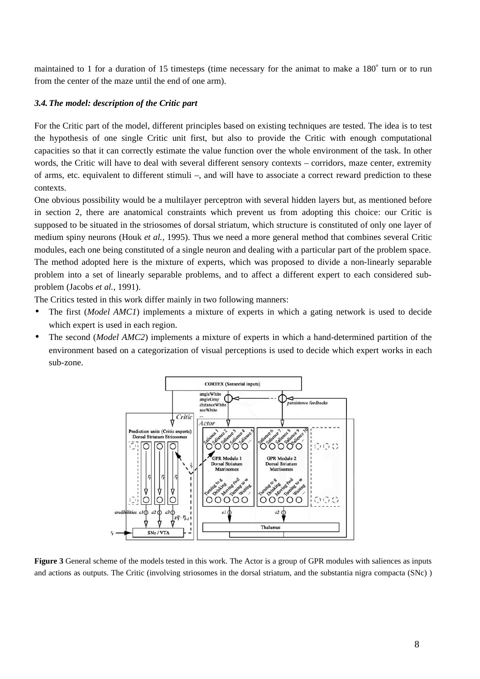maintained to 1 for a duration of 15 timesteps (time necessary for the animat to make a 180˚ turn or to run from the center of the maze until the end of one arm).

### *3.4.The model: description of the Critic part*

For the Critic part of the model, different principles based on existing techniques are tested. The idea is to test the hypothesis of one single Critic unit first, but also to provide the Critic with enough computational capacities so that it can correctly estimate the value function over the whole environment of the task. In other words, the Critic will have to deal with several different sensory contexts – corridors, maze center, extremity of arms, etc. equivalent to different stimuli –, and will have to associate a correct reward prediction to these contexts.

One obvious possibility would be a multilayer perceptron with several hidden layers but, as mentioned before in section 2, there are anatomical constraints which prevent us from adopting this choice: our Critic is supposed to be situated in the striosomes of dorsal striatum, which structure is constituted of only one layer of medium spiny neurons (Houk *et al.*, 1995). Thus we need a more general method that combines several Critic modules, each one being constituted of a single neuron and dealing with a particular part of the problem space. The method adopted here is the mixture of experts, which was proposed to divide a non-linearly separable problem into a set of linearly separable problems, and to affect a different expert to each considered subproblem (Jacobs *et al.*, 1991).

The Critics tested in this work differ mainly in two following manners:

- The first (*Model AMCI*) implements a mixture of experts in which a gating network is used to decide which expert is used in each region.
- The second (*Model AMC2*) implements a mixture of experts in which a hand-determined partition of the environment based on a categorization of visual perceptions is used to decide which expert works in each sub-zone.



**Figure 3** General scheme of the models tested in this work. The Actor is a group of GPR modules with saliences as inputs and actions as outputs. The Critic (involving striosomes in the dorsal striatum, and the substantia nigra compacta (SNc) )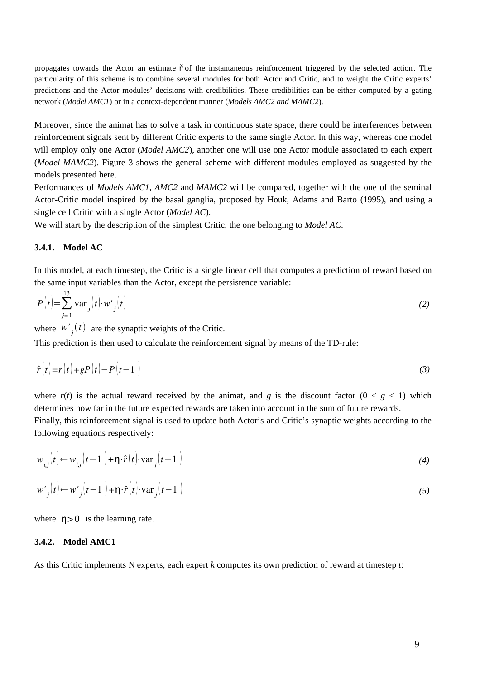propagates towards the Actor an estimate ř of the instantaneous reinforcement triggered by the selected action. The particularity of this scheme is to combine several modules for both Actor and Critic, and to weight the Critic experts' predictions and the Actor modules' decisions with credibilities. These credibilities can be either computed by a gating network (*Model AMC1*) or in a context-dependent manner (*Models AMC2 and MAMC2*).

Moreover, since the animat has to solve a task in continuous state space, there could be interferences between reinforcement signals sent by different Critic experts to the same single Actor. In this way, whereas one model will employ only one Actor (*Model AMC2*), another one will use one Actor module associated to each expert (*Model MAMC2*). Figure 3 shows the general scheme with different modules employed as suggested by the models presented here.

Performances of *Models AMC1*, *AMC2* and *MAMC2* will be compared, together with the one of the seminal Actor-Critic model inspired by the basal ganglia, proposed by Houk, Adams and Barto (1995), and using a single cell Critic with a single Actor (*Model AC*)*.*

We will start by the description of the simplest Critic, the one belonging to *Model AC*.

### **3.4.1. Model AC**

In this model, at each timestep, the Critic is a single linear cell that computes a prediction of reward based on the same input variables than the Actor, except the persistence variable:

$$
P(t) = \sum_{j=1}^{13} \text{var}_j(t) \cdot w'_{j}(t)
$$
 (2)

where  $w'_{j}(t)$  are the synaptic weights of the Critic.

This prediction is then used to calculate the reinforcement signal by means of the TD-rule:

$$
\hat{r}(t) = r(t) + gP(t) - P(t-1)
$$
\n(3)

where  $r(t)$  is the actual reward received by the animat, and *g* is the discount factor  $(0 < g < 1)$  which determines how far in the future expected rewards are taken into account in the sum of future rewards. Finally, this reinforcement signal is used to update both Actor's and Critic's synaptic weights according to the following equations respectively:

$$
w_{i,j}(t) \leftarrow w_{i,j}(t-1) + \eta \cdot \hat{r}(t) \cdot \text{var}_j(t-1)
$$
\n<sup>(4)</sup>

$$
w'_{j}(t) \leftarrow w'_{j}(t-1) + \eta \cdot \hat{r}(t) \cdot \text{var}_{j}(t-1)
$$
\n
$$
(5)
$$

where  $\eta > 0$  is the learning rate.

#### **3.4.2. Model AMC1**

As this Critic implements N experts, each expert *k* computes its own prediction of reward at timestep *t*: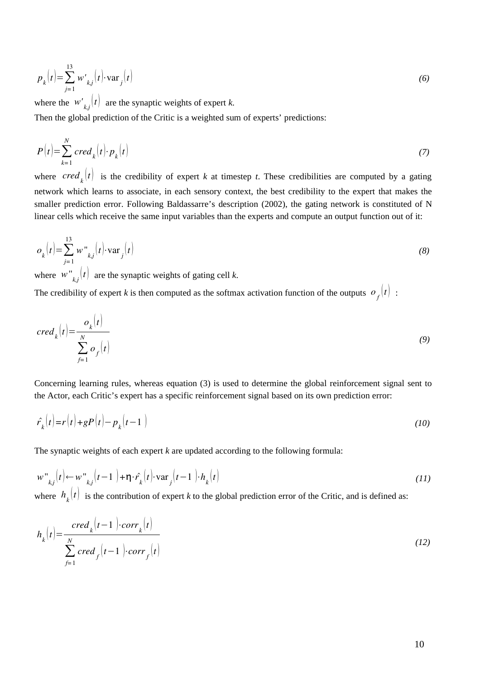$$
p_k(t) = \sum_{j=1}^{13} w'_{kj}(t) \cdot \text{var}_j(t)
$$
\n
$$
(6)
$$

where the  $w'_{k,j}(t)$  are the synaptic weights of expert *k*.

Then the global prediction of the Critic is a weighted sum of experts' predictions:

$$
P(t) = \sum_{k=1}^{N} cred_k(t) \cdot p_k(t)
$$
\n<sup>(7)</sup>

where  $\left| \frac{cred}{k} \right| t$  is the credibility of expert *k* at timestep *t*. These credibilities are computed by a gating network which learns to associate, in each sensory context, the best credibility to the expert that makes the smaller prediction error. Following Baldassarre's description (2002), the gating network is constituted of N linear cells which receive the same input variables than the experts and compute an output function out of it:

$$
o_k(t) = \sum_{j=1}^{13} w_{k,j}^{\text{v}}(t) \cdot \text{var}_j(t)
$$
 (8)

where  $W''_{k,j}(t)$  are the synaptic weights of gating cell *k*.

The credibility of expert *k* is then computed as the softmax activation function of the outputs  $o_f(t)$ :

$$
credk(t) = \frac{ok(t)}{\sum_{f=1}^{N} of(t)}
$$
\n(9)

Concerning learning rules, whereas equation (3) is used to determine the global reinforcement signal sent to the Actor, each Critic's expert has a specific reinforcement signal based on its own prediction error:

$$
\hat{r}_k(t) = r(t) + gP(t) - p_k(t-1)
$$
\n(10)

The synaptic weights of each expert *k* are updated according to the following formula:

$$
w_{k,j}^{\mathbf{v}}(t) \leftarrow w_{k,j}^{\mathbf{v}}(t-1) + \eta \cdot \hat{r}_k(t) \cdot \text{var}_j(t-1) \cdot h_k(t)
$$
\n(11)

where  $h_k(t)$  is the contribution of expert *k* to the global prediction error of the Critic, and is defined as:

$$
h_k(t) = \frac{\operatorname{cred}_k(t-1) \cdot \operatorname{corr}_k(t)}{\sum_{f=1}^N \operatorname{cred}_f(t-1) \cdot \operatorname{corr}_f(t)}
$$
(12)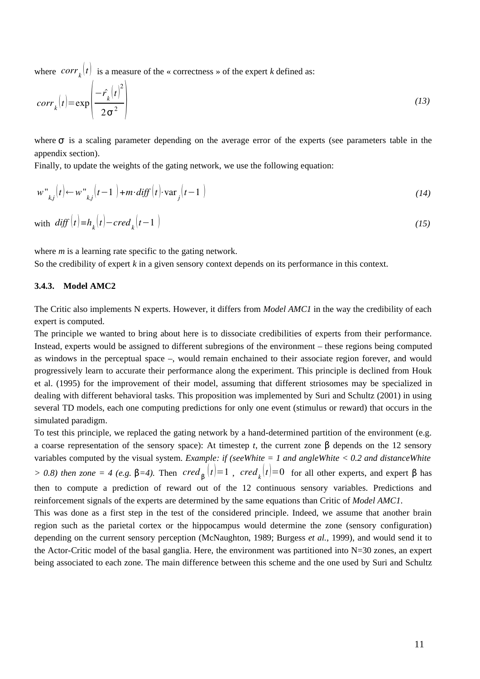where  $corr_k(t)$  is a measure of the « correctness » of the expert *k* defined as:

$$
corr_k(t) = \exp\left(\frac{-\hat{r}_k(t)^2}{2\sigma^2}\right)
$$
\n(13)

where  $\sigma$  is a scaling parameter depending on the average error of the experts (see parameters table in the appendix section).

Finally, to update the weights of the gating network, we use the following equation:

$$
w''_{k,j}(t) \leftarrow w''_{k,j}(t-1) + m \cdot diff(t) \cdot var_j(t-1)
$$
\n(14)

with 
$$
diff(t) = h_k(t) - cred_k(t-1)
$$
 (15)

where *m* is a learning rate specific to the gating network.

So the credibility of expert *k* in a given sensory context depends on its performance in this context.

### **3.4.3. Model AMC2**

The Critic also implements N experts. However, it differs from *Model AMC1* in the way the credibility of each expert is computed.

The principle we wanted to bring about here is to dissociate credibilities of experts from their performance. Instead, experts would be assigned to different subregions of the environment – these regions being computed as windows in the perceptual space –, would remain enchained to their associate region forever, and would progressively learn to accurate their performance along the experiment. This principle is declined from Houk et al. (1995) for the improvement of their model, assuming that different striosomes may be specialized in dealing with different behavioral tasks. This proposition was implemented by Suri and Schultz (2001) in using several TD models, each one computing predictions for only one event (stimulus or reward) that occurs in the simulated paradigm.

To test this principle, we replaced the gating network by a hand-determined partition of the environment (e.g. a coarse representation of the sensory space): At timestep *t*, the current zone β depends on the 12 sensory variables computed by the visual system. *Example: if (seeWhite = 1 and angleWhite < 0.2 and distanceWhite*  $>$  *0.8) then zone* = 4 (*e.g.* β=4). Then  $\left| \frac{r e d}{\beta} \right| t = 1$ ,  $\left| \frac{r e d}{\gamma} \right| t = 0$  for all other experts, and expert β has then to compute a prediction of reward out of the 12 continuous sensory variables. Predictions and reinforcement signals of the experts are determined by the same equations than Critic of *Model AMC1*.

This was done as a first step in the test of the considered principle. Indeed, we assume that another brain region such as the parietal cortex or the hippocampus would determine the zone (sensory configuration) depending on the current sensory perception (McNaughton, 1989; Burgess *et al.*, 1999), and would send it to the Actor-Critic model of the basal ganglia. Here, the environment was partitioned into N=30 zones, an expert being associated to each zone. The main difference between this scheme and the one used by Suri and Schultz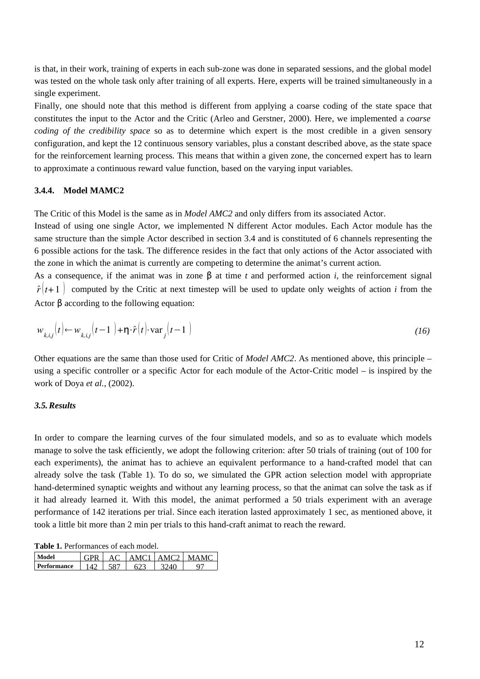is that, in their work, training of experts in each sub-zone was done in separated sessions, and the global model was tested on the whole task only after training of all experts. Here, experts will be trained simultaneously in a single experiment.

Finally, one should note that this method is different from applying a coarse coding of the state space that constitutes the input to the Actor and the Critic (Arleo and Gerstner, 2000). Here, we implemented a *coarse coding of the credibility space* so as to determine which expert is the most credible in a given sensory configuration*,* and kept the 12 continuous sensory variables, plus a constant described above, as the state space for the reinforcement learning process. This means that within a given zone, the concerned expert has to learn to approximate a continuous reward value function, based on the varying input variables.

### **3.4.4. Model MAMC2**

The Critic of this Model is the same as in *Model AMC2* and only differs from its associated Actor.

Instead of using one single Actor, we implemented N different Actor modules. Each Actor module has the same structure than the simple Actor described in section 3.4 and is constituted of 6 channels representing the 6 possible actions for the task. The difference resides in the fact that only actions of the Actor associated with the zone in which the animat is currently are competing to determine the animat's current action.

As a consequence, if the animat was in zone  $\beta$  at time *t* and performed action *i*, the reinforcement signal  $\hat{r}|t+1|$  computed by the Critic at next timestep will be used to update only weights of action *i* from the Actor β according to the following equation:

$$
w_{k, i, j}(t) \leftarrow w_{k, i, j}(t - 1) + \eta \cdot \hat{r}(t) \cdot \text{var}_j(t - 1)
$$
\n(16)

Other equations are the same than those used for Critic of *Model AMC2*. As mentioned above, this principle – using a specific controller or a specific Actor for each module of the Actor-Critic model – is inspired by the work of Doya *et al.*, (2002).

### *3.5.Results*

In order to compare the learning curves of the four simulated models, and so as to evaluate which models manage to solve the task efficiently, we adopt the following criterion: after 50 trials of training (out of 100 for each experiments), the animat has to achieve an equivalent performance to a hand-crafted model that can already solve the task (Table 1). To do so, we simulated the GPR action selection model with appropriate hand-determined synaptic weights and without any learning process, so that the animat can solve the task as if it had already learned it. With this model, the animat performed a 50 trials experiment with an average performance of 142 iterations per trial. Since each iteration lasted approximately 1 sec, as mentioned above, it took a little bit more than 2 min per trials to this hand-craft animat to reach the reward.

**Table 1.** Performances of each model.

| Model       |  |  | $\pm$ AMC1 $\pm$ AMC2 $\pm$ MAMC |
|-------------|--|--|----------------------------------|
| Performance |  |  |                                  |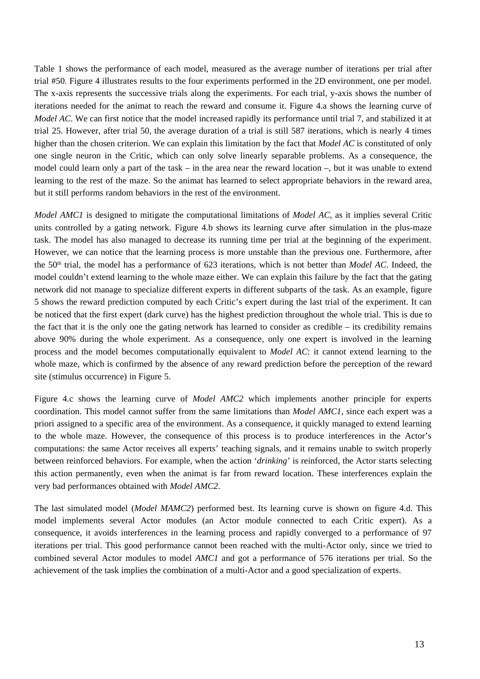Table 1 shows the performance of each model, measured as the average number of iterations per trial after trial #50. Figure 4 illustrates results to the four experiments performed in the 2D environment, one per model. The x-axis represents the successive trials along the experiments. For each trial, y-axis shows the number of iterations needed for the animat to reach the reward and consume it. Figure 4.a shows the learning curve of *Model AC*. We can first notice that the model increased rapidly its performance until trial 7, and stabilized it at trial 25. However, after trial 50, the average duration of a trial is still 587 iterations, which is nearly 4 times higher than the chosen criterion. We can explain this limitation by the fact that *Model AC* is constituted of only one single neuron in the Critic, which can only solve linearly separable problems. As a consequence, the model could learn only a part of the task – in the area near the reward location –, but it was unable to extend learning to the rest of the maze. So the animat has learned to select appropriate behaviors in the reward area, but it still performs random behaviors in the rest of the environment.

*Model AMC1* is designed to mitigate the computational limitations of *Model AC*, as it implies several Critic units controlled by a gating network. Figure 4.b shows its learning curve after simulation in the plus-maze task. The model has also managed to decrease its running time per trial at the beginning of the experiment. However, we can notice that the learning process is more unstable than the previous one. Furthermore, after the 50<sup>th</sup> trial, the model has a performance of 623 iterations, which is not better than *Model AC*. Indeed, the model couldn't extend learning to the whole maze either. We can explain this failure by the fact that the gating network did not manage to specialize different experts in different subparts of the task. As an example, figure 5 shows the reward prediction computed by each Critic's expert during the last trial of the experiment. It can be noticed that the first expert (dark curve) has the highest prediction throughout the whole trial. This is due to the fact that it is the only one the gating network has learned to consider as credible – its credibility remains above 90% during the whole experiment. As a consequence, only one expert is involved in the learning process and the model becomes computationally equivalent to *Model AC*: it cannot extend learning to the whole maze, which is confirmed by the absence of any reward prediction before the perception of the reward site (stimulus occurrence) in Figure 5.

Figure 4.c shows the learning curve of *Model AMC2* which implements another principle for experts coordination. This model cannot suffer from the same limitations than *Model AMC1*, since each expert was a priori assigned to a specific area of the environment. As a consequence, it quickly managed to extend learning to the whole maze. However, the consequence of this process is to produce interferences in the Actor's computations: the same Actor receives all experts' teaching signals, and it remains unable to switch properly between reinforced behaviors. For example, when the action '*drinking*' is reinforced, the Actor starts selecting this action permanently, even when the animat is far from reward location. These interferences explain the very bad performances obtained with *Model AMC2*.

The last simulated model (*Model MAMC2*) performed best. Its learning curve is shown on figure 4.d. This model implements several Actor modules (an Actor module connected to each Critic expert). As a consequence, it avoids interferences in the learning process and rapidly converged to a performance of 97 iterations per trial. This good performance cannot been reached with the multi-Actor only, since we tried to combined several Actor modules to model *AMC1* and got a performance of 576 iterations per trial. So the achievement of the task implies the combination of a multi-Actor and a good specialization of experts.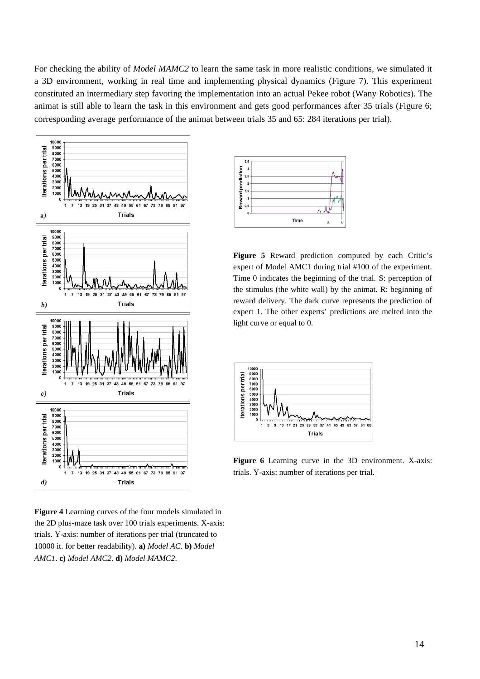For checking the ability of *Model MAMC2* to learn the same task in more realistic conditions, we simulated it a 3D environment, working in real time and implementing physical dynamics (Figure 7). This experiment constituted an intermediary step favoring the implementation into an actual Pekee robot (Wany Robotics). The animat is still able to learn the task in this environment and gets good performances after 35 trials (Figure 6; corresponding average performance of the animat between trials 35 and 65: 284 iterations per trial).



**Figure 4** Learning curves of the four models simulated in the 2D plus-maze task over 100 trials experiments. X-axis: trials. Y-axis: number of iterations per trial (truncated to 10000 it. for better readability). **a)** *Model AC*. **b)** *Model AMC1*. **c)** *Model AMC2*. **d)** *Model MAMC2*.



**Figure 5** Reward prediction computed by each Critic's expert of Model AMC1 during trial #100 of the experiment. Time 0 indicates the beginning of the trial. S: perception of the stimulus (the white wall) by the animat. R: beginning of reward delivery. The dark curve represents the prediction of expert 1. The other experts' predictions are melted into the light curve or equal to 0.



**Figure 6** Learning curve in the 3D environment. X-axis: trials. Y-axis: number of iterations per trial.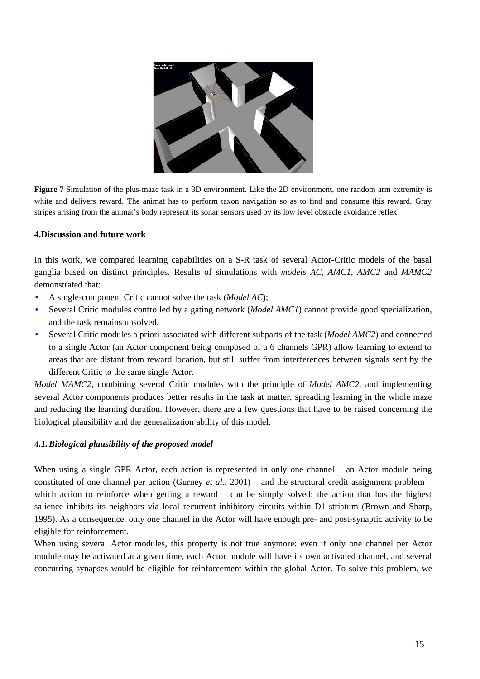

**Figure 7** Simulation of the plus-maze task in a 3D environment. Like the 2D environment, one random arm extremity is white and delivers reward. The animat has to perform taxon navigation so as to find and consume this reward. Gray stripes arising from the animat's body represent its sonar sensors used by its low level obstacle avoidance reflex.

## **4.Discussion and future work**

In this work, we compared learning capabilities on a S-R task of several Actor-Critic models of the basal ganglia based on distinct principles. Results of simulations with *models AC, AMC1, AMC2* and *MAMC2* demonstrated that:

- A single-component Critic cannot solve the task (*Model AC*);
- Several Critic modules controlled by a gating network (*Model AMC1*) cannot provide good specialization, and the task remains unsolved.
- Several Critic modules a priori associated with different subparts of the task (*Model AMC2*) and connected to a single Actor (an Actor component being composed of a 6 channels GPR) allow learning to extend to areas that are distant from reward location, but still suffer from interferences between signals sent by the different Critic to the same single Actor.

*Model MAMC2*, combining several Critic modules with the principle of *Model AMC2*, and implementing several Actor components produces better results in the task at matter, spreading learning in the whole maze and reducing the learning duration. However, there are a few questions that have to be raised concerning the biological plausibility and the generalization ability of this model.

## *4.1.Biological plausibility of the proposed model*

When using a single GPR Actor, each action is represented in only one channel – an Actor module being constituted of one channel per action (Gurney *et al.*, 2001) – and the structural credit assignment problem – which action to reinforce when getting a reward – can be simply solved: the action that has the highest salience inhibits its neighbors via local recurrent inhibitory circuits within D1 striatum (Brown and Sharp, 1995). As a consequence, only one channel in the Actor will have enough pre- and post-synaptic activity to be eligible for reinforcement.

When using several Actor modules, this property is not true anymore: even if only one channel per Actor module may be activated at a given time, each Actor module will have its own activated channel, and several concurring synapses would be eligible for reinforcement within the global Actor. To solve this problem, we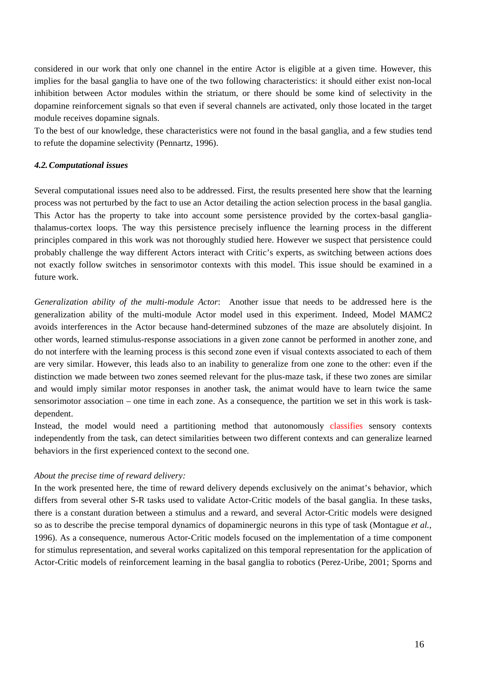considered in our work that only one channel in the entire Actor is eligible at a given time. However, this implies for the basal ganglia to have one of the two following characteristics: it should either exist non-local inhibition between Actor modules within the striatum, or there should be some kind of selectivity in the dopamine reinforcement signals so that even if several channels are activated, only those located in the target module receives dopamine signals.

To the best of our knowledge, these characteristics were not found in the basal ganglia, and a few studies tend to refute the dopamine selectivity (Pennartz, 1996).

### *4.2.Computational issues*

Several computational issues need also to be addressed. First, the results presented here show that the learning process was not perturbed by the fact to use an Actor detailing the action selection process in the basal ganglia. This Actor has the property to take into account some persistence provided by the cortex-basal gangliathalamus-cortex loops. The way this persistence precisely influence the learning process in the different principles compared in this work was not thoroughly studied here. However we suspect that persistence could probably challenge the way different Actors interact with Critic's experts, as switching between actions does not exactly follow switches in sensorimotor contexts with this model. This issue should be examined in a future work.

*Generalization ability of the multi-module Actor*: Another issue that needs to be addressed here is the generalization ability of the multi-module Actor model used in this experiment. Indeed, Model MAMC2 avoids interferences in the Actor because hand-determined subzones of the maze are absolutely disjoint. In other words, learned stimulus-response associations in a given zone cannot be performed in another zone, and do not interfere with the learning process is this second zone even if visual contexts associated to each of them are very similar. However, this leads also to an inability to generalize from one zone to the other: even if the distinction we made between two zones seemed relevant for the plus-maze task, if these two zones are similar and would imply similar motor responses in another task, the animat would have to learn twice the same sensorimotor association – one time in each zone. As a consequence, the partition we set in this work is taskdependent.

Instead, the model would need a partitioning method that autonomously classifies sensory contexts independently from the task, can detect similarities between two different contexts and can generalize learned behaviors in the first experienced context to the second one.

### *About the precise time of reward delivery:*

In the work presented here, the time of reward delivery depends exclusively on the animat's behavior, which differs from several other S-R tasks used to validate Actor-Critic models of the basal ganglia. In these tasks, there is a constant duration between a stimulus and a reward, and several Actor-Critic models were designed so as to describe the precise temporal dynamics of dopaminergic neurons in this type of task (Montague *et al.*, 1996). As a consequence, numerous Actor-Critic models focused on the implementation of a time component for stimulus representation, and several works capitalized on this temporal representation for the application of Actor-Critic models of reinforcement learning in the basal ganglia to robotics (Perez-Uribe, 2001; Sporns and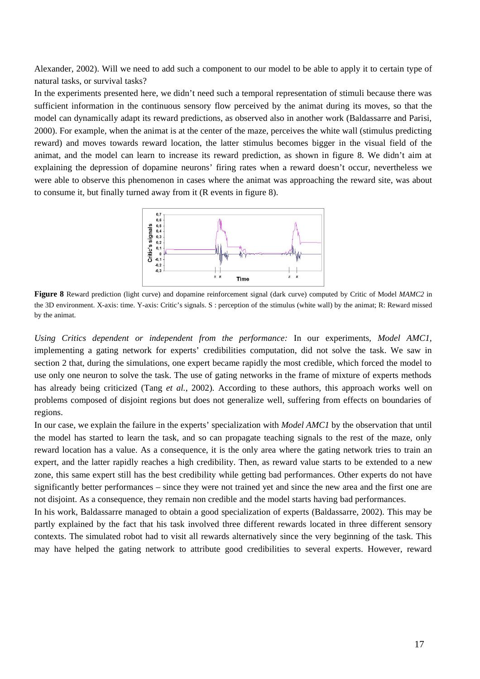Alexander, 2002). Will we need to add such a component to our model to be able to apply it to certain type of natural tasks, or survival tasks?

In the experiments presented here, we didn't need such a temporal representation of stimuli because there was sufficient information in the continuous sensory flow perceived by the animat during its moves, so that the model can dynamically adapt its reward predictions, as observed also in another work (Baldassarre and Parisi, 2000). For example, when the animat is at the center of the maze, perceives the white wall (stimulus predicting reward) and moves towards reward location, the latter stimulus becomes bigger in the visual field of the animat, and the model can learn to increase its reward prediction, as shown in figure 8. We didn't aim at explaining the depression of dopamine neurons' firing rates when a reward doesn't occur, nevertheless we were able to observe this phenomenon in cases where the animat was approaching the reward site, was about to consume it, but finally turned away from it (R events in figure 8).



**Figure 8** Reward prediction (light curve) and dopamine reinforcement signal (dark curve) computed by Critic of Model *MAMC2* in the 3D environment. X-axis: time. Y-axis: Critic's signals. S : perception of the stimulus (white wall) by the animat; R: Reward missed by the animat.

*Using Critics dependent or independent from the performance:* In our experiments, *Model AMC1*, implementing a gating network for experts' credibilities computation, did not solve the task. We saw in section 2 that, during the simulations, one expert became rapidly the most credible, which forced the model to use only one neuron to solve the task. The use of gating networks in the frame of mixture of experts methods has already being criticized (Tang *et al.*, 2002). According to these authors, this approach works well on problems composed of disjoint regions but does not generalize well, suffering from effects on boundaries of regions.

In our case, we explain the failure in the experts' specialization with *Model AMC1* by the observation that until the model has started to learn the task, and so can propagate teaching signals to the rest of the maze, only reward location has a value. As a consequence, it is the only area where the gating network tries to train an expert, and the latter rapidly reaches a high credibility. Then, as reward value starts to be extended to a new zone, this same expert still has the best credibility while getting bad performances. Other experts do not have significantly better performances – since they were not trained yet and since the new area and the first one are not disjoint. As a consequence, they remain non credible and the model starts having bad performances.

In his work, Baldassarre managed to obtain a good specialization of experts (Baldassarre, 2002). This may be partly explained by the fact that his task involved three different rewards located in three different sensory contexts. The simulated robot had to visit all rewards alternatively since the very beginning of the task. This may have helped the gating network to attribute good credibilities to several experts. However, reward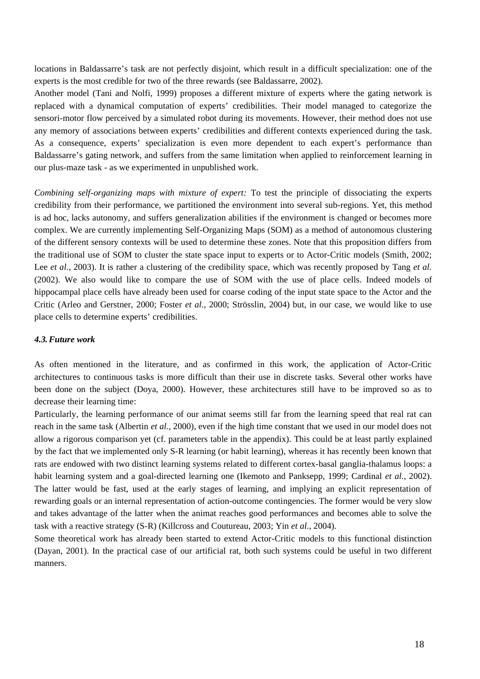locations in Baldassarre's task are not perfectly disjoint, which result in a difficult specialization: one of the experts is the most credible for two of the three rewards (see Baldassarre, 2002).

Another model (Tani and Nolfi, 1999) proposes a different mixture of experts where the gating network is replaced with a dynamical computation of experts' credibilities. Their model managed to categorize the sensori-motor flow perceived by a simulated robot during its movements. However, their method does not use any memory of associations between experts' credibilities and different contexts experienced during the task. As a consequence, experts' specialization is even more dependent to each expert's performance than Baldassarre's gating network, and suffers from the same limitation when applied to reinforcement learning in our plus-maze task - as we experimented in unpublished work.

*Combining self-organizing maps with mixture of expert:* To test the principle of dissociating the experts credibility from their performance, we partitioned the environment into several sub-regions. Yet, this method is ad hoc, lacks autonomy, and suffers generalization abilities if the environment is changed or becomes more complex. We are currently implementing Self-Organizing Maps (SOM) as a method of autonomous clustering of the different sensory contexts will be used to determine these zones. Note that this proposition differs from the traditional use of SOM to cluster the state space input to experts or to Actor-Critic models (Smith, 2002; Lee *et al.*, 2003). It is rather a clustering of the credibility space, which was recently proposed by Tang *et al.* (2002). We also would like to compare the use of SOM with the use of place cells. Indeed models of hippocampal place cells have already been used for coarse coding of the input state space to the Actor and the Critic (Arleo and Gerstner, 2000; Foster *et al.*, 2000; Strösslin, 2004) but, in our case, we would like to use place cells to determine experts' credibilities.

#### *4.3.Future work*

As often mentioned in the literature, and as confirmed in this work, the application of Actor-Critic architectures to continuous tasks is more difficult than their use in discrete tasks. Several other works have been done on the subject (Doya, 2000). However, these architectures still have to be improved so as to decrease their learning time:

Particularly, the learning performance of our animat seems still far from the learning speed that real rat can reach in the same task (Albertin *et al.*, 2000), even if the high time constant that we used in our model does not allow a rigorous comparison yet (cf. parameters table in the appendix). This could be at least partly explained by the fact that we implemented only S-R learning (or habit learning), whereas it has recently been known that rats are endowed with two distinct learning systems related to different cortex-basal ganglia-thalamus loops: a habit learning system and a goal-directed learning one (Ikemoto and Panksepp, 1999; Cardinal *et al.*, 2002). The latter would be fast, used at the early stages of learning, and implying an explicit representation of rewarding goals or an internal representation of action-outcome contingencies. The former would be very slow and takes advantage of the latter when the animat reaches good performances and becomes able to solve the task with a reactive strategy (S-R) (Killcross and Coutureau, 2003; Yin *et al.*, 2004).

Some theoretical work has already been started to extend Actor-Critic models to this functional distinction (Dayan, 2001). In the practical case of our artificial rat, both such systems could be useful in two different manners.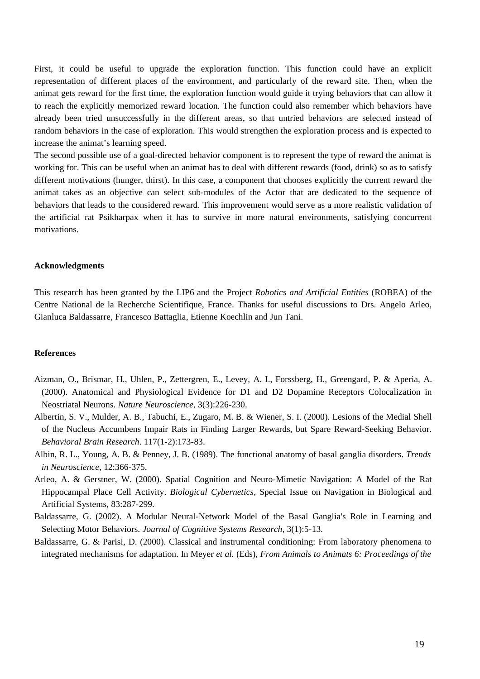First, it could be useful to upgrade the exploration function. This function could have an explicit representation of different places of the environment, and particularly of the reward site. Then, when the animat gets reward for the first time, the exploration function would guide it trying behaviors that can allow it to reach the explicitly memorized reward location. The function could also remember which behaviors have already been tried unsuccessfully in the different areas, so that untried behaviors are selected instead of random behaviors in the case of exploration. This would strengthen the exploration process and is expected to increase the animat's learning speed.

The second possible use of a goal-directed behavior component is to represent the type of reward the animat is working for. This can be useful when an animat has to deal with different rewards (food, drink) so as to satisfy different motivations (hunger, thirst). In this case, a component that chooses explicitly the current reward the animat takes as an objective can select sub-modules of the Actor that are dedicated to the sequence of behaviors that leads to the considered reward. This improvement would serve as a more realistic validation of the artificial rat Psikharpax when it has to survive in more natural environments, satisfying concurrent motivations.

#### **Acknowledgments**

This research has been granted by the LIP6 and the Project *Robotics and Artificial Entities* (ROBEA) of the Centre National de la Recherche Scientifique, France. Thanks for useful discussions to Drs. Angelo Arleo, Gianluca Baldassarre, Francesco Battaglia, Etienne Koechlin and Jun Tani.

#### **References**

- Aizman, O., Brismar, H., Uhlen, P., Zettergren, E., Levey, A. I., Forssberg, H., Greengard, P. & Aperia, A. (2000). Anatomical and Physiological Evidence for D1 and D2 Dopamine Receptors Colocalization in Neostriatal Neurons. *Nature Neuroscience*, 3(3):226-230.
- Albertin, S. V., Mulder, A. B., Tabuchi, E., Zugaro, M. B. & Wiener, S. I. (2000). Lesions of the Medial Shell of the Nucleus Accumbens Impair Rats in Finding Larger Rewards, but Spare Reward-Seeking Behavior. *Behavioral Brain Research*. 117(1-2):173-83.
- Albin, R. L., Young, A. B. & Penney, J. B. (1989). The functional anatomy of basal ganglia disorders. *Trends in Neuroscience*, 12:366-375.
- Arleo, A. & Gerstner, W. (2000). Spatial Cognition and Neuro-Mimetic Navigation: A Model of the Rat Hippocampal Place Cell Activity. *Biological Cybernetics*, Special Issue on Navigation in Biological and Artificial Systems, 83:287-299.
- Baldassarre, G. (2002). A Modular Neural-Network Model of the Basal Ganglia's Role in Learning and Selecting Motor Behaviors. *Journal of Cognitive Systems Research*, 3(1):5-13.
- Baldassarre, G. & Parisi, D. (2000). Classical and instrumental conditioning: From laboratory phenomena to integrated mechanisms for adaptation. In Meyer *et al.* (Eds), *From Animals to Animats 6: Proceedings of the*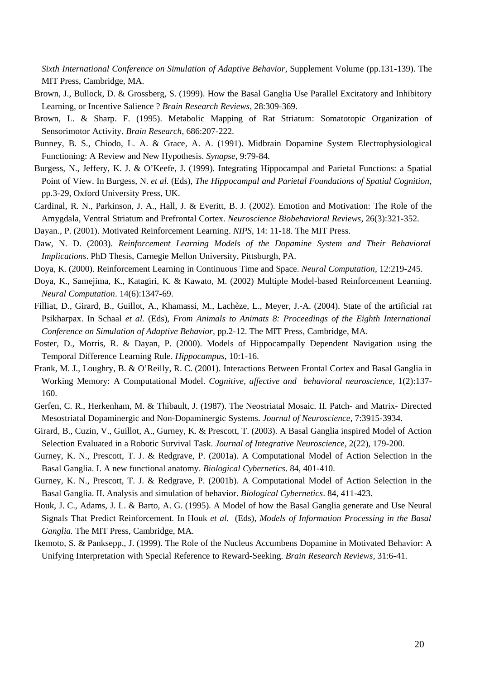*Sixth International Conference on Simulation of Adaptive Behavior,* Supplement Volume (pp.131-139). The MIT Press, Cambridge, MA.

- Brown, J., Bullock, D. & Grossberg, S. (1999). How the Basal Ganglia Use Parallel Excitatory and Inhibitory Learning, or Incentive Salience ? *Brain Research Reviews*, 28:309-369.
- Brown, L. & Sharp. F. (1995). Metabolic Mapping of Rat Striatum: Somatotopic Organization of Sensorimotor Activity. *Brain Research*, 686:207-222.
- Bunney, B. S., Chiodo, L. A. & Grace, A. A. (1991). Midbrain Dopamine System Electrophysiological Functioning: A Review and New Hypothesis. *Synapse*, 9:79-84.
- Burgess, N., Jeffery, K. J. & O'Keefe, J. (1999). Integrating Hippocampal and Parietal Functions: a Spatial Point of View. In Burgess, N. *et al.* (Eds), *The Hippocampal and Parietal Foundations of Spatial Cognition*, pp.3-29, Oxford University Press, UK.
- Cardinal, R. N., Parkinson, J. A., Hall, J. & Everitt, B. J. (2002). Emotion and Motivation: The Role of the Amygdala, Ventral Striatum and Prefrontal Cortex. *Neuroscience Biobehavioral Reviews*, 26(3):321-352.
- Dayan., P. (2001). Motivated Reinforcement Learning. *NIPS,* 14: 11-18. The MIT Press.
- Daw, N. D. (2003). *Reinforcement Learning Models of the Dopamine System and Their Behavioral Implications*. PhD Thesis, Carnegie Mellon University, Pittsburgh, PA.
- Doya, K. (2000). Reinforcement Learning in Continuous Time and Space. *Neural Computation*, 12:219-245.
- Doya, K., Samejima, K., Katagiri, K. & Kawato, M. (2002) Multiple Model-based Reinforcement Learning. *Neural Computation*. 14(6):1347-69.
- Filliat, D., Girard, B., Guillot, A., Khamassi, M., Lachèze, L., Meyer, J.-A. (2004). State of the artificial rat Psikharpax. In Schaal *et al.* (Eds), *From Animals to Animats 8: Proceedings of the Eighth International Conference on Simulation of Adaptive Behavior,* pp.2-12. The MIT Press, Cambridge, MA.
- Foster, D., Morris, R. & Dayan, P. (2000). Models of Hippocampally Dependent Navigation using the Temporal Difference Learning Rule. *Hippocampus*, 10:1-16.
- Frank, M. J., Loughry, B. & O'Reilly, R. C. (2001). Interactions Between Frontal Cortex and Basal Ganglia in Working Memory: A Computational Model. *Cognitive, affective and behavioral neuroscience*, 1(2):137- 160.
- Gerfen, C. R., Herkenham, M. & Thibault, J. (1987). The Neostriatal Mosaic. II. Patch- and Matrix- Directed Mesostriatal Dopaminergic and Non-Dopaminergic Systems. *Journal of Neuroscience*, 7:3915-3934.
- Girard, B., Cuzin, V., Guillot, A., Gurney, K. & Prescott, T. (2003). A Basal Ganglia inspired Model of Action Selection Evaluated in a Robotic Survival Task. *Journal of Integrative Neuroscience,* 2(22), 179-200.
- Gurney, K. N., Prescott, T. J. & Redgrave, P. (2001a). A Computational Model of Action Selection in the Basal Ganglia. I. A new functional anatomy. *Biological Cybernetics*. 84, 401-410.
- Gurney, K. N., Prescott, T. J. & Redgrave, P. (2001b). A Computational Model of Action Selection in the Basal Ganglia. II. Analysis and simulation of behavior. *Biological Cybernetics*. 84, 411-423.
- Houk, J. C., Adams, J. L. & Barto, A. G. (1995). A Model of how the Basal Ganglia generate and Use Neural Signals That Predict Reinforcement. In Houk *et al.* (Eds), *Models of Information Processing in the Basal Ganglia.* The MIT Press, Cambridge, MA.
- Ikemoto, S. & Panksepp., J. (1999). The Role of the Nucleus Accumbens Dopamine in Motivated Behavior: A Unifying Interpretation with Special Reference to Reward-Seeking. *Brain Research Reviews*, 31:6-41.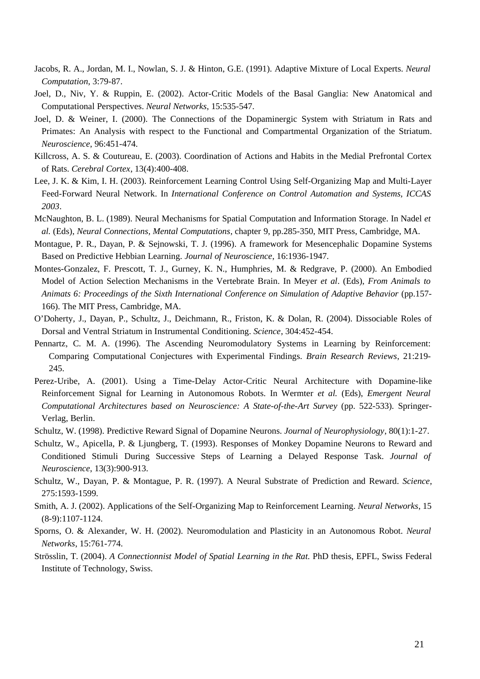- Jacobs, R. A., Jordan, M. I., Nowlan, S. J. & Hinton, G.E. (1991). Adaptive Mixture of Local Experts. *Neural Computation*, 3:79-87.
- Joel, D., Niv, Y. & Ruppin, E. (2002). Actor-Critic Models of the Basal Ganglia: New Anatomical and Computational Perspectives. *Neural Networks*, 15:535-547.
- Joel, D. & Weiner, I. (2000). The Connections of the Dopaminergic System with Striatum in Rats and Primates: An Analysis with respect to the Functional and Compartmental Organization of the Striatum. *Neuroscience*, 96:451-474.
- Killcross, A. S. & Coutureau, E. (2003). Coordination of Actions and Habits in the Medial Prefrontal Cortex of Rats. *Cerebral Cortex*, 13(4):400-408.
- Lee, J. K. & Kim, I. H. (2003). Reinforcement Learning Control Using Self-Organizing Map and Multi-Layer Feed-Forward Neural Network. In *International Conference on Control Automation and Systems, ICCAS 2003*.
- McNaughton, B. L. (1989). Neural Mechanisms for Spatial Computation and Information Storage. In Nadel *et al.* (Eds), *Neural Connections, Mental Computations*, chapter 9, pp.285-350, MIT Press, Cambridge, MA.
- Montague, P. R., Dayan, P. & Sejnowski, T. J. (1996). A framework for Mesencephalic Dopamine Systems Based on Predictive Hebbian Learning. *Journal of Neuroscience*, 16:1936-1947.
- Montes-Gonzalez, F. Prescott, T. J., Gurney, K. N., Humphries, M. & Redgrave, P. (2000). An Embodied Model of Action Selection Mechanisms in the Vertebrate Brain. In Meyer *et al*. (Eds), *From Animals to Animats 6: Proceedings of the Sixth International Conference on Simulation of Adaptive Behavior* (pp.157- 166). The MIT Press, Cambridge, MA.
- O'Doherty, J., Dayan, P., Schultz, J., Deichmann, R., Friston, K. & Dolan, R. (2004). Dissociable Roles of Dorsal and Ventral Striatum in Instrumental Conditioning. *Science*, 304:452-454.
- Pennartz, C. M. A. (1996). The Ascending Neuromodulatory Systems in Learning by Reinforcement: Comparing Computational Conjectures with Experimental Findings. *Brain Research Reviews*, 21:219- 245.
- Perez-Uribe, A. (2001). Using a Time-Delay Actor-Critic Neural Architecture with Dopamine-like Reinforcement Signal for Learning in Autonomous Robots. In Wermter *et al.* (Eds), *Emergent Neural Computational Architectures based on Neuroscience: A State-of-the-Art Survey* (pp. 522-533)*.* Springer-Verlag, Berlin.
- Schultz, W. (1998). Predictive Reward Signal of Dopamine Neurons. *Journal of Neurophysiology*, 80(1):1-27.
- Schultz, W., Apicella, P. & Ljungberg, T. (1993). Responses of Monkey Dopamine Neurons to Reward and Conditioned Stimuli During Successive Steps of Learning a Delayed Response Task. *Journal of Neuroscience*, 13(3):900-913.
- Schultz, W., Dayan, P. & Montague, P. R. (1997). A Neural Substrate of Prediction and Reward. *Science*, 275:1593-1599.
- Smith, A. J. (2002). Applications of the Self-Organizing Map to Reinforcement Learning. *Neural Networks*, 15 (8-9):1107-1124.
- Sporns, O. & Alexander, W. H. (2002). Neuromodulation and Plasticity in an Autonomous Robot. *Neural Networks*, 15:761-774.
- Strösslin, T. (2004). *A Connectionnist Model of Spatial Learning in the Rat.* PhD thesis, EPFL, Swiss Federal Institute of Technology, Swiss.